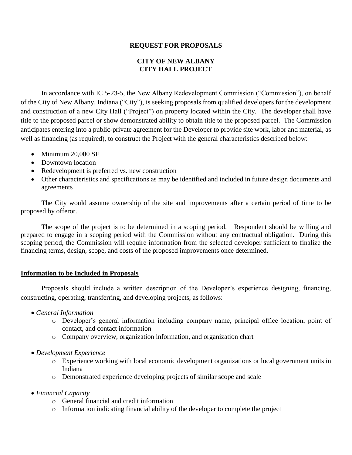## **REQUEST FOR PROPOSALS**

# **CITY OF NEW ALBANY CITY HALL PROJECT**

In accordance with IC 5-23-5, the New Albany Redevelopment Commission ("Commission"), on behalf of the City of New Albany, Indiana ("City"), is seeking proposals from qualified developers for the development and construction of a new City Hall ("Project") on property located within the City. The developer shall have title to the proposed parcel or show demonstrated ability to obtain title to the proposed parcel. The Commission anticipates entering into a public-private agreement for the Developer to provide site work, labor and material, as well as financing (as required), to construct the Project with the general characteristics described below:

- Minimum 20,000 SF
- Downtown location
- Redevelopment is preferred vs. new construction
- Other characteristics and specifications as may be identified and included in future design documents and agreements

The City would assume ownership of the site and improvements after a certain period of time to be proposed by offeror.

The scope of the project is to be determined in a scoping period. Respondent should be willing and prepared to engage in a scoping period with the Commission without any contractual obligation. During this scoping period, the Commission will require information from the selected developer sufficient to finalize the financing terms, design, scope, and costs of the proposed improvements once determined.

### **Information to be Included in Proposals**

Proposals should include a written description of the Developer's experience designing, financing, constructing, operating, transferring, and developing projects, as follows:

- *General Information*
	- o Developer's general information including company name, principal office location, point of contact, and contact information
	- o Company overview, organization information, and organization chart
- *Development Experience*
	- o Experience working with local economic development organizations or local government units in Indiana
	- o Demonstrated experience developing projects of similar scope and scale
- *Financial Capacity*
	- o General financial and credit information
	- o Information indicating financial ability of the developer to complete the project